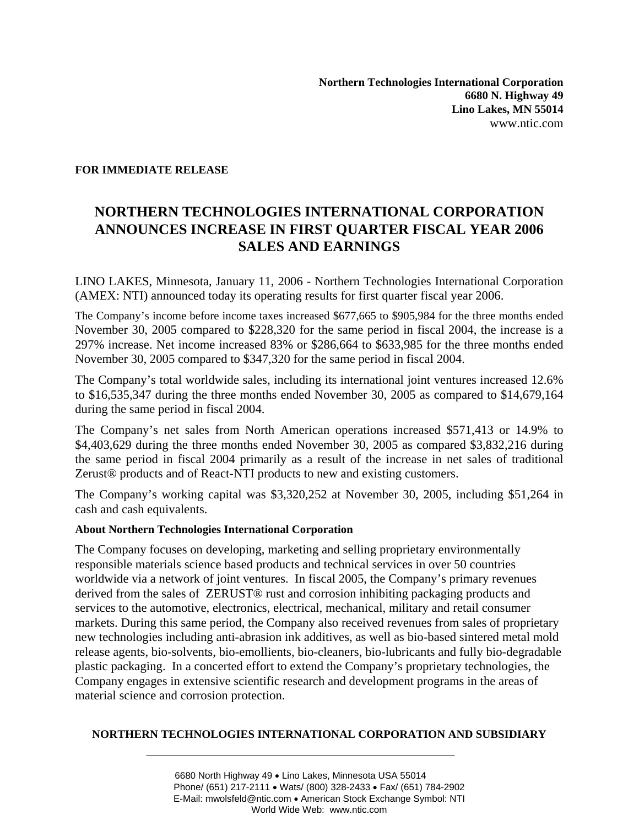## **FOR IMMEDIATE RELEASE**

## **NORTHERN TECHNOLOGIES INTERNATIONAL CORPORATION ANNOUNCES INCREASE IN FIRST QUARTER FISCAL YEAR 2006 SALES AND EARNINGS**

LINO LAKES, Minnesota, January 11, 2006 - Northern Technologies International Corporation (AMEX: NTI) announced today its operating results for first quarter fiscal year 2006.

The Company's income before income taxes increased \$677,665 to \$905,984 for the three months ended November 30, 2005 compared to \$228,320 for the same period in fiscal 2004, the increase is a 297% increase. Net income increased 83% or \$286,664 to \$633,985 for the three months ended November 30, 2005 compared to \$347,320 for the same period in fiscal 2004.

The Company's total worldwide sales, including its international joint ventures increased 12.6% to \$16,535,347 during the three months ended November 30, 2005 as compared to \$14,679,164 during the same period in fiscal 2004.

The Company's net sales from North American operations increased \$571,413 or 14.9% to \$4,403,629 during the three months ended November 30, 2005 as compared \$3,832,216 during the same period in fiscal 2004 primarily as a result of the increase in net sales of traditional Zerust® products and of React-NTI products to new and existing customers.

The Company's working capital was \$3,320,252 at November 30, 2005, including \$51,264 in cash and cash equivalents.

## **About Northern Technologies International Corporation**

The Company focuses on developing, marketing and selling proprietary environmentally responsible materials science based products and technical services in over 50 countries worldwide via a network of joint ventures. In fiscal 2005, the Company's primary revenues derived from the sales of ZERUST® rust and corrosion inhibiting packaging products and services to the automotive, electronics, electrical, mechanical, military and retail consumer markets. During this same period, the Company also received revenues from sales of proprietary new technologies including anti-abrasion ink additives, as well as bio-based sintered metal mold release agents, bio-solvents, bio-emollients, bio-cleaners, bio-lubricants and fully bio-degradable plastic packaging. In a concerted effort to extend the Company's proprietary technologies, the Company engages in extensive scientific research and development programs in the areas of material science and corrosion protection.

## **NORTHERN TECHNOLOGIES INTERNATIONAL CORPORATION AND SUBSIDIARY**